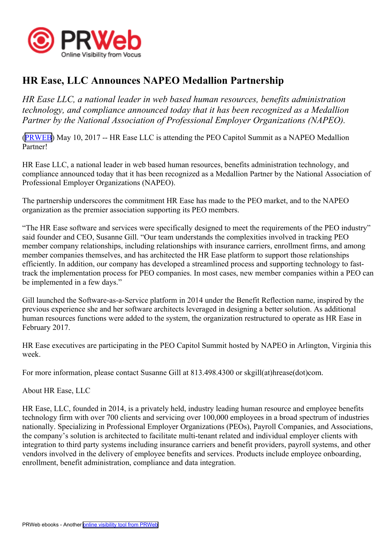

## **HR Ease, LLC Announces NAPEO Medallion Partnership**

*HR Ease LLC, <sup>a</sup> national leader in web based human resources, benefits administration technology, and compliance announced today that it has been recognized as <sup>a</sup> Medallion Partner by the National Association of Professional Employer Organizations (NAPEO).*

([PRWEB](http://www.prweb.com)) May 10, 2017 -- HR Ease LLC is attending the PEO Capitol Summit as <sup>a</sup> NAPEO Medallion Partner!

HR Ease LLC, <sup>a</sup> national leader in web based human resources, benefits administration technology, and compliance announced today that it has been recognized as <sup>a</sup> Medallion Partner by the National Association of Professional Employer Organizations (NAPEO).

The partnership underscores the commitment HR Ease has made to the PEO market, and to the NAPEO organization as the premier association supporting its PEO members.

"The HR Ease software and services were specifically designed to meet the requirements of the PEO industry" said founder and CEO, Susanne Gill. "Our team understands the complexities involved in tracking PEO member company relationships, including relationships with insurance carriers, enrollment firms, and among member companies themselves, and has architected the HR Ease platform to suppor<sup>t</sup> those relationships efficiently. In addition, our company has developed <sup>a</sup> streamlined process and supporting technology to fasttrack the implementation process for PEO companies. In most cases, new member companies within <sup>a</sup> PEO can be implemented in <sup>a</sup> few days."

Gill launched the Software-as-a-Service platform in 2014 under the Benefit Reflection name, inspired by the previous experience she and her software architects leveraged in designing <sup>a</sup> better solution. As additional human resources functions were added to the system, the organization restructured to operate as HR Ease in February 2017.

HR Ease executives are participating in the PEO Capitol Summit hosted by NAPEO in Arlington, Virginia this week.

For more information, please contact Susanne Gill at 813.498.4300 or skgill(at)hrease(dot)com.

About HR Ease, LLC

HR Ease, LLC, founded in 2014, is <sup>a</sup> privately held, industry leading human resource and employee benefits technology firm with over 700 clients and servicing over 100,000 employees in <sup>a</sup> broad spectrum of industries nationally. Specializing in Professional Employer Organizations (PEOs), Payroll Companies, and Associations, the company's solution is architected to facilitate multi-tenant related and individual employer clients with integration to third party systems including insurance carriers and benefit providers, payroll systems, and other vendors involved in the delivery of employee benefits and services. Products include employee onboarding, enrollment, benefit administration, compliance and data integration.